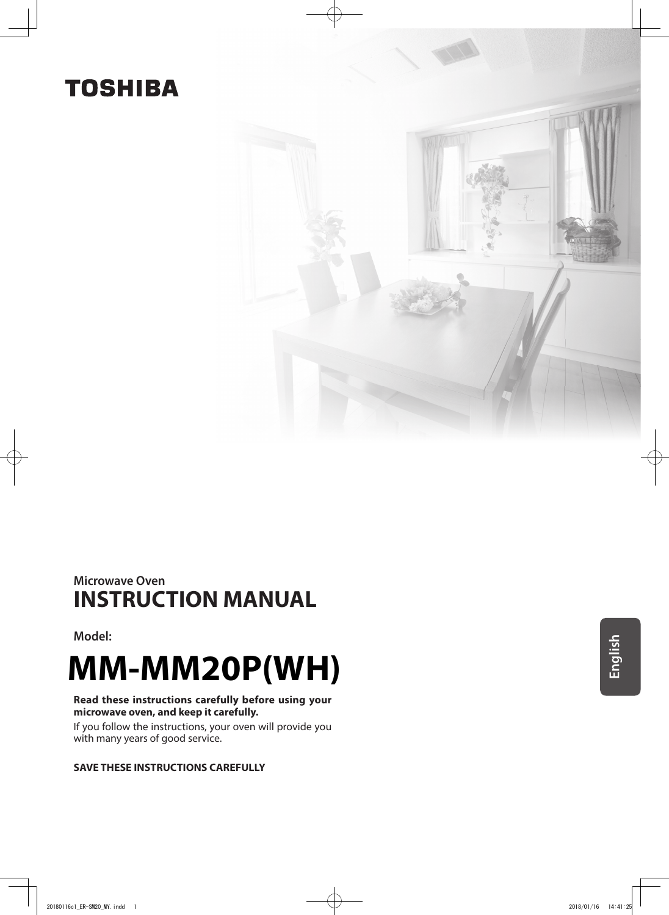### **TOSHIBA**



### **Microwave Oven INSTRUCTION MANUAL**

**Model:**

# **MM-MM20P(WH)**

#### **Read these instructions carefully before using your microwave oven, and keep it carefully.**

If you follow the instructions, your oven will provide you with many years of good service.

**SAVE THESE INSTRUCTIONS CAREFULLY**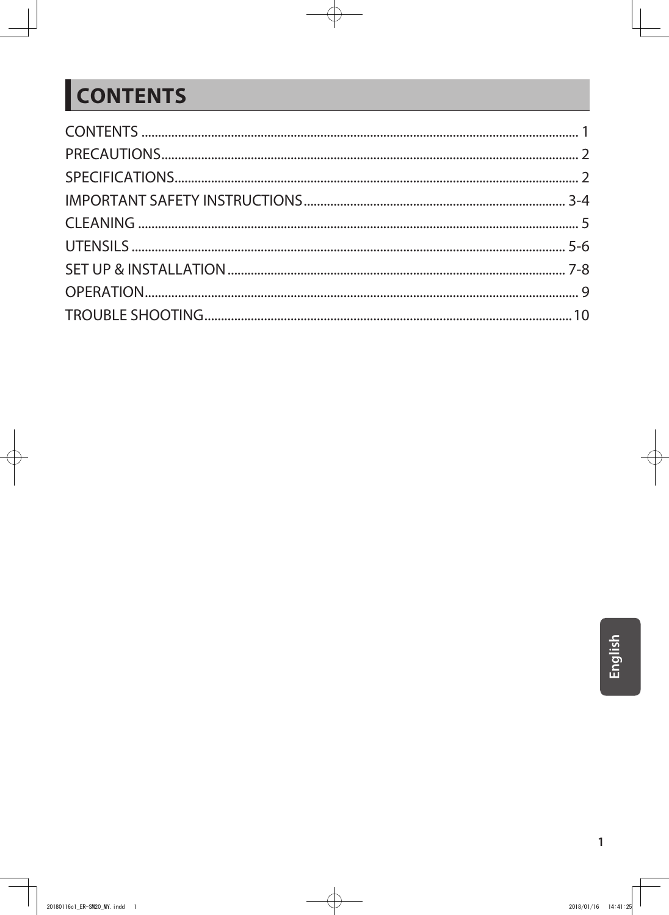# CONTENTS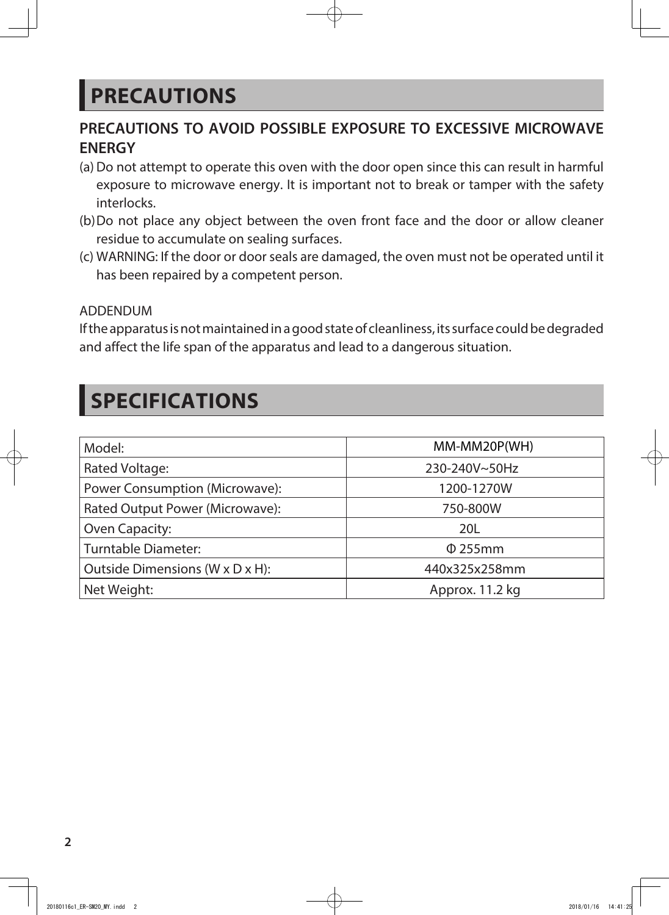# **PRECAUTIONS**

### **PRECAUTIONS TO AVOID POSSIBLE EXPOSURE TO EXCESSIVE MICROWAVE ENERGY**

- (a) Do not attempt to operate this oven with the door open since this can result in harmful exposure to microwave energy. It is important not to break or tamper with the safety interlocks.
- (b) Do not place any object between the oven front face and the door or allow cleaner residue to accumulate on sealing surfaces.
- (c) WARNING: If the door or door seals are damaged, the oven must not be operated until it has been repaired by a competent person.

#### ADDENDUM

If the apparatus is not maintained in a good state of cleanliness, its surface could be degraded and affect the life span of the apparatus and lead to a dangerous situation.

## **SPECIFICATIONS**

| Model:                          | MM-MM20P(WH)    |
|---------------------------------|-----------------|
| <b>Rated Voltage:</b>           | 230-240V~50Hz   |
| Power Consumption (Microwave):  | 1200-1270W      |
| Rated Output Power (Microwave): | 750-800W        |
| <b>Oven Capacity:</b>           | 20L             |
| <b>Turntable Diameter:</b>      | $\Phi$ 255mm    |
| Outside Dimensions (W x D x H): | 440x325x258mm   |
| Net Weight:                     | Approx. 11.2 kg |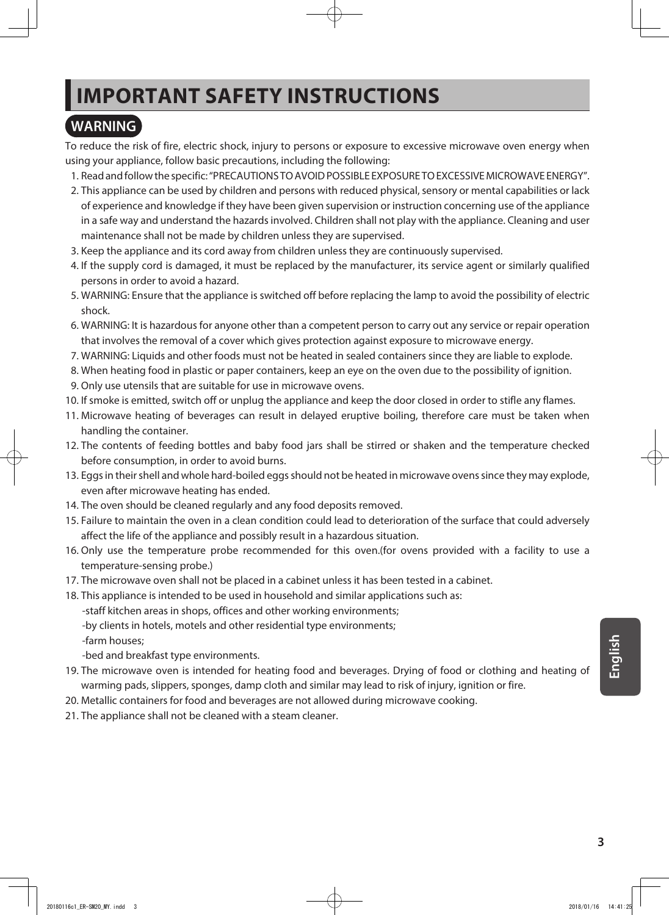## **IMPORTANT SAFETY INSTRUCTIONS**

### **WARNING**

To reduce the risk of fire, electric shock, injury to persons or exposure to excessive microwave oven energy when using your appliance, follow basic precautions, including the following:

- 1. Read and follow the specific: "PRECAUTIONS TO AVOID POSSIBLE EXPOSURE TO EXCESSIVE MICROWAVE ENERGY".
- 2. This appliance can be used by children and persons with reduced physical, sensory or mental capabilities or lack of experience and knowledge if they have been given supervision or instruction concerning use of the appliance in a safe way and understand the hazards involved. Children shall not play with the appliance. Cleaning and user maintenance shall not be made by children unless they are supervised.
- 3. Keep the appliance and its cord away from children unless they are continuously supervised.
- 4. If the supply cord is damaged, it must be replaced by the manufacturer, its service agent or similarly qualified persons in order to avoid a hazard.
- 5. WARNING: Ensure that the appliance is switched off before replacing the lamp to avoid the possibility of electric shock.
- 6. WARNING: It is hazardous for anyone other than a competent person to carry out any service or repair operation that involves the removal of a cover which gives protection against exposure to microwave energy.
- 7. WARNING: Liquids and other foods must not be heated in sealed containers since they are liable to explode.
- 8. When heating food in plastic or paper containers, keep an eye on the oven due to the possibility of ignition.
- 9. Only use utensils that are suitable for use in microwave ovens.
- 10. If smoke is emitted, switch off or unplug the appliance and keep the door closed in order to stifle any flames.
- 11. Microwave heating of beverages can result in delayed eruptive boiling, therefore care must be taken when handling the container.
- 12. The contents of feeding bottles and baby food jars shall be stirred or shaken and the temperature checked before consumption, in order to avoid burns.
- 13. Eggs in their shell and whole hard-boiled eggs should not be heated in microwave ovens since they may explode, even after microwave heating has ended.
- 14. The oven should be cleaned regularly and any food deposits removed.
- 15. Failure to maintain the oven in a clean condition could lead to deterioration of the surface that could adversely affect the life of the appliance and possibly result in a hazardous situation.
- 16. Only use the temperature probe recommended for this oven.(for ovens provided with a facility to use a temperature-sensing probe.)
- 17. The microwave oven shall not be placed in a cabinet unless it has been tested in a cabinet.
- 18. This appliance is intended to be used in household and similar applications such as:
	- -staff kitchen areas in shops, offices and other working environments;
	- -by clients in hotels, motels and other residential type environments;
	- -farm houses;

-bed and breakfast type environments.

- 19. The microwave oven is intended for heating food and beverages. Drying of food or clothing and heating of warming pads, slippers, sponges, damp cloth and similar may lead to risk of injury, ignition or fire.
- 20. Metallic containers for food and beverages are not allowed during microwave cooking.
- 21. The appliance shall not be cleaned with a steam cleaner.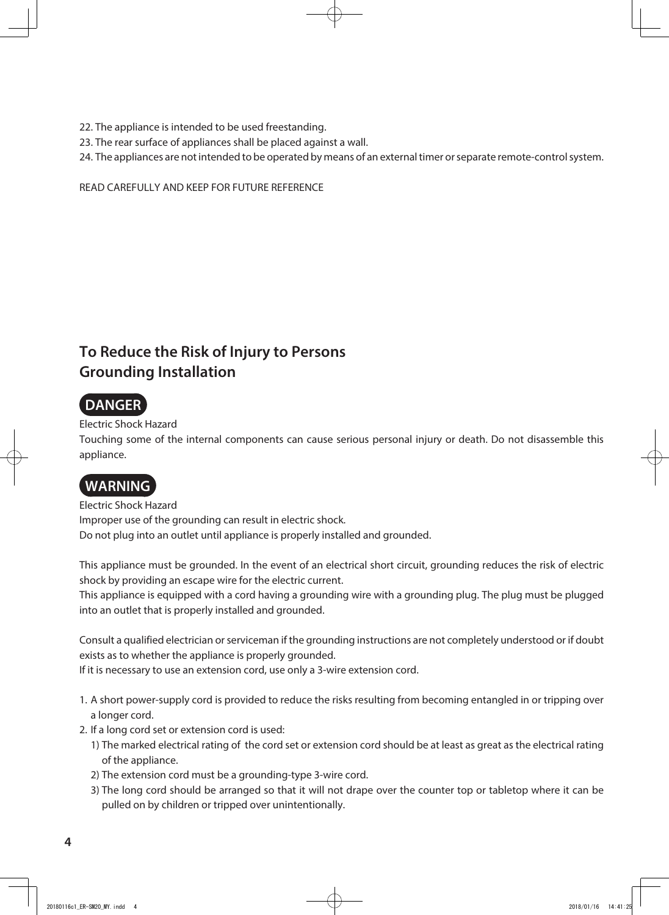- 22. The appliance is intended to be used freestanding.
- 23. The rear surface of appliances shall be placed against a wall.
- 24. The appliances are not intended to be operated by means of an external timer or separate remote-control system.

READ CAREFULLY AND KEEP FOR FUTURE REFERENCE

#### **To Reduce the Risk of Injury to Persons Grounding Installation**

### **DANGER**

Electric Shock Hazard

Touching some of the internal components can cause serious personal injury or death. Do not disassemble this appliance.



Electric Shock Hazard Improper use of the grounding can result in electric shock. Do not plug into an outlet until appliance is properly installed and grounded.

This appliance must be grounded. In the event of an electrical short circuit, grounding reduces the risk of electric shock by providing an escape wire for the electric current.

This appliance is equipped with a cord having a grounding wire with a grounding plug. The plug must be plugged into an outlet that is properly installed and grounded.

Consult a qualified electrician or serviceman if the grounding instructions are not completely understood or if doubt exists as to whether the appliance is properly grounded.

If it is necessary to use an extension cord, use only a 3-wire extension cord.

- 1. A short power-supply cord is provided to reduce the risks resulting from becoming entangled in or tripping over a longer cord.
- 2. If a long cord set or extension cord is used:
	- 1) The marked electrical rating of the cord set or extension cord should be at least as great as the electrical rating of the appliance.
	- 2) The extension cord must be a grounding-type 3-wire cord.
	- 3) The long cord should be arranged so that it will not drape over the counter top or tabletop where it can be pulled on by children or tripped over unintentionally.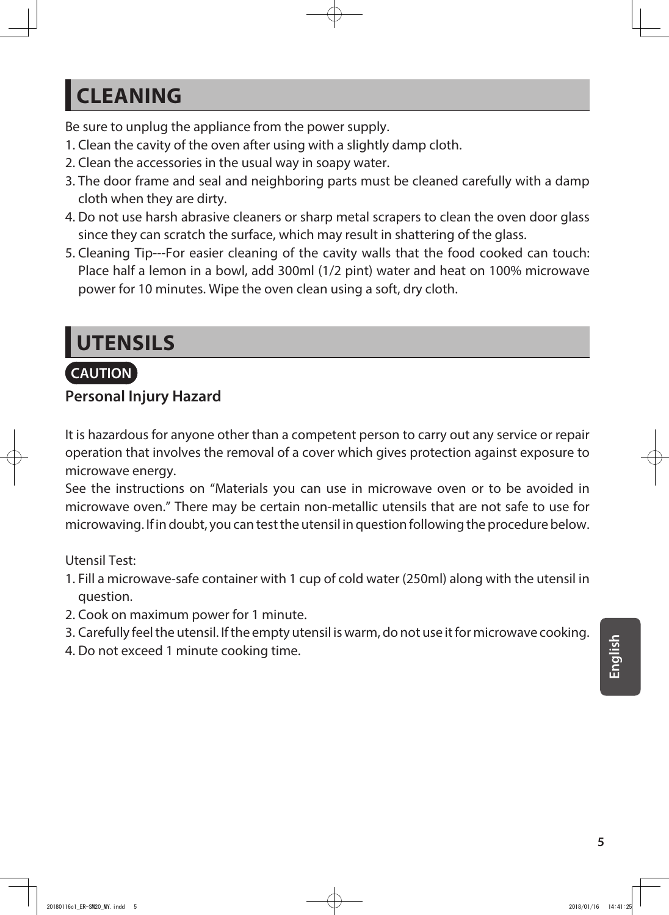# **CLEANING**

Be sure to unplug the appliance from the power supply.

- 1. Clean the cavity of the oven after using with a slightly damp cloth.
- 2. Clean the accessories in the usual way in soapy water.
- 3. The door frame and seal and neighboring parts must be cleaned carefully with a damp cloth when they are dirty.
- 4. Do not use harsh abrasive cleaners or sharp metal scrapers to clean the oven door glass since they can scratch the surface, which may result in shattering of the glass.
- 5. Cleaning Tip---For easier cleaning of the cavity walls that the food cooked can touch: Place half a lemon in a bowl, add 300ml (1/2 pint) water and heat on 100% microwave power for 10 minutes. Wipe the oven clean using a soft, dry cloth.

# **UTENSILS**

### **CAUTION**

### **Personal Injury Hazard**

It is hazardous for anyone other than a competent person to carry out any service or repair operation that involves the removal of a cover which gives protection against exposure to microwave energy.

See the instructions on "Materials you can use in microwave oven or to be avoided in microwave oven." There may be certain non-metallic utensils that are not safe to use for microwaving. If in doubt, you can test the utensil in question following the procedure below.

Utensil Test:

- 1. Fill a microwave-safe container with 1 cup of cold water (250ml) along with the utensil in question.
- 2. Cook on maximum power for 1 minute.
- 3. Carefully feel the utensil. If the empty utensil is warm, do not use it for microwave cooking.
- 4. Do not exceed 1 minute cooking time.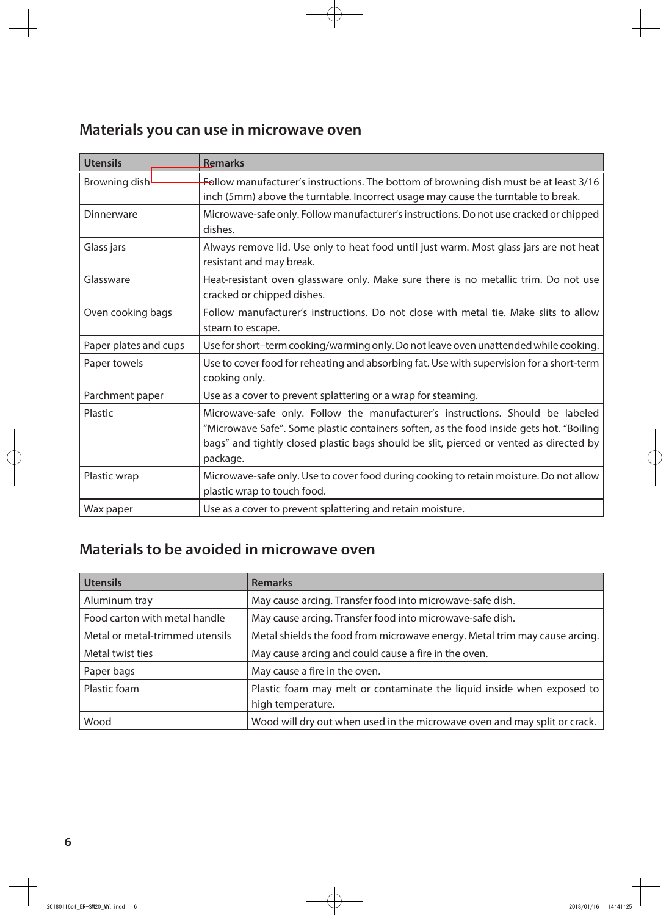### **Materials you can use in microwave oven**

| <b>Utensils</b>       | <b>Remarks</b>                                                                                                                                                                                                                                                                  |
|-----------------------|---------------------------------------------------------------------------------------------------------------------------------------------------------------------------------------------------------------------------------------------------------------------------------|
| Browning dish         | $F0$ llow manufacturer's instructions. The bottom of browning dish must be at least 3/16<br>inch (5mm) above the turntable. Incorrect usage may cause the turntable to break.                                                                                                   |
| Dinnerware            | Microwave-safe only. Follow manufacturer's instructions. Do not use cracked or chipped<br>dishes.                                                                                                                                                                               |
| Glass jars            | Always remove lid. Use only to heat food until just warm. Most glass jars are not heat<br>resistant and may break.                                                                                                                                                              |
| Glassware             | Heat-resistant oven glassware only. Make sure there is no metallic trim. Do not use<br>cracked or chipped dishes.                                                                                                                                                               |
| Oven cooking bags     | Follow manufacturer's instructions. Do not close with metal tie. Make slits to allow<br>steam to escape.                                                                                                                                                                        |
| Paper plates and cups | Use for short-term cooking/warming only. Do not leave oven unattended while cooking.                                                                                                                                                                                            |
| Paper towels          | Use to cover food for reheating and absorbing fat. Use with supervision for a short-term<br>cooking only.                                                                                                                                                                       |
| Parchment paper       | Use as a cover to prevent splattering or a wrap for steaming.                                                                                                                                                                                                                   |
| Plastic               | Microwave-safe only. Follow the manufacturer's instructions. Should be labeled<br>"Microwave Safe". Some plastic containers soften, as the food inside gets hot. "Boiling<br>bags" and tightly closed plastic bags should be slit, pierced or vented as directed by<br>package. |
| Plastic wrap          | Microwave-safe only. Use to cover food during cooking to retain moisture. Do not allow<br>plastic wrap to touch food.                                                                                                                                                           |
| Wax paper             | Use as a cover to prevent splattering and retain moisture.                                                                                                                                                                                                                      |

### **Materials to be avoided in microwave oven**

| <b>Utensils</b>                 | <b>Remarks</b>                                                             |
|---------------------------------|----------------------------------------------------------------------------|
| Aluminum tray                   | May cause arcing. Transfer food into microwave-safe dish.                  |
| Food carton with metal handle   | May cause arcing. Transfer food into microwave-safe dish.                  |
| Metal or metal-trimmed utensils | Metal shields the food from microwave energy. Metal trim may cause arcing. |
| Metal twist ties                | May cause arcing and could cause a fire in the oven.                       |
| Paper bags                      | May cause a fire in the oven.                                              |
| Plastic foam                    | Plastic foam may melt or contaminate the liquid inside when exposed to     |
|                                 | high temperature.                                                          |
| Wood                            | Wood will dry out when used in the microwave oven and may split or crack.  |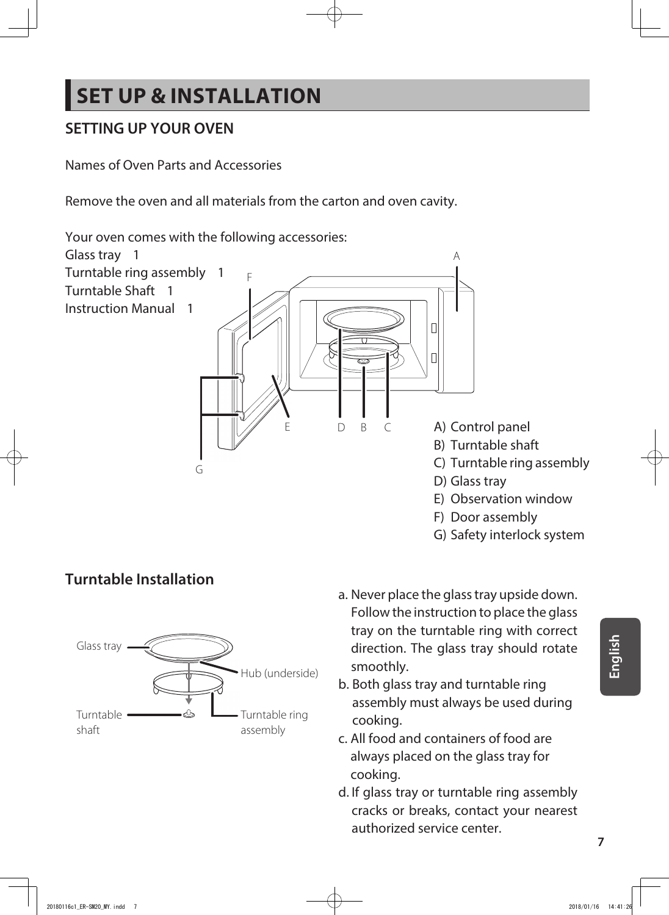## **SET UP & INSTALLATION**

### **SETTING UP YOUR OVEN**

Names of Oven Parts and Accessories

Remove the oven and all materials from the carton and oven cavity.



G) Safety interlock system

### **Turntable Installation**



- a. Never place the glass tray upside down. Follow the instruction to place the glass tray on the turntable ring with correct direction. The glass tray should rotate smoothly.
- b. Both glass tray and turntable ring assembly must always be used during cooking.
- c. All food and containers of food are always placed on the glass tray for cooking.
- d. If glass tray or turntable ring assembly cracks or breaks, contact your nearest authorized service center.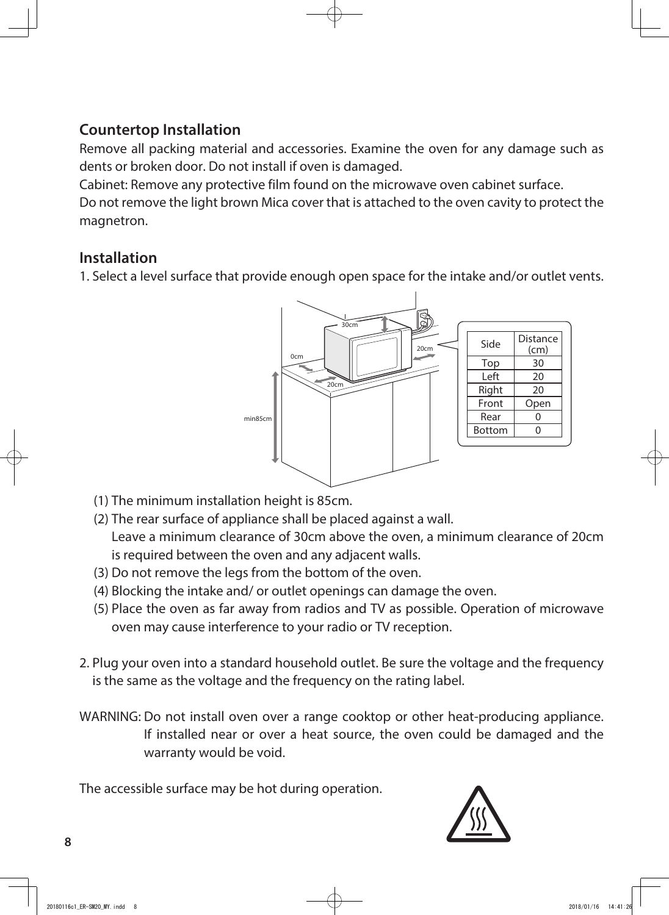### **Countertop Installation**

Remove all packing material and accessories. Examine the oven for any damage such as dents or broken door. Do not install if oven is damaged.

Cabinet: Remove any protective film found on the microwave oven cabinet surface.

Do not remove the light brown Mica cover that is attached to the oven cavity to protect the magnetron.

### **Installation**

1. Select a level surface that provide enough open space for the intake and/or outlet vents.



- (1) The minimum installation height is 85cm.
- (2) The rear surface of appliance shall be placed against a wall.

Leave a minimum clearance of 30cm above the oven, a minimum clearance of 20cm is required between the oven and any adjacent walls.

- (3) Do not remove the legs from the bottom of the oven.
- (4) Blocking the intake and/ or outlet openings can damage the oven.
- (5) Place the oven as far away from radios and TV as possible. Operation of microwave oven may cause interference to your radio or TV reception.
- 2. Plug your oven into a standard household outlet. Be sure the voltage and the frequency is the same as the voltage and the frequency on the rating label.
- WARNING: Do not install oven over a range cooktop or other heat-producing appliance. If installed near or over a heat source, the oven could be damaged and the warranty would be void.

The accessible surface may be hot during operation.

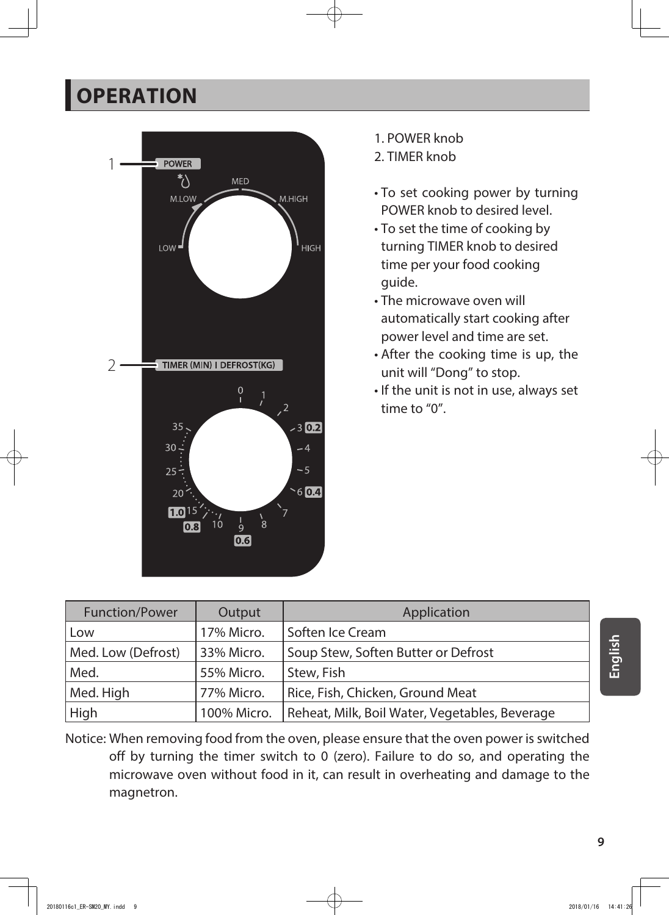## **OPERATION**



- 1. POWER knob
- 2. TIMER knob
- To set cooking power by turning POWER knob to desired level.
- To set the time of cooking by turning TIMER knob to desired time per your food cooking guide.
- The microwave oven will automatically start cooking after power level and time are set.
- After the cooking time is up, the unit will "Dong" to stop.
- If the unit is not in use, always set time to "0".

| <b>Function/Power</b> | Output      | Application                                    |  |
|-----------------------|-------------|------------------------------------------------|--|
| Low                   | 17% Micro.  | Soften Ice Cream                               |  |
| Med. Low (Defrost)    | 33% Micro.  | Soup Stew, Soften Butter or Defrost            |  |
| Med.                  | 55% Micro.  | Stew, Fish                                     |  |
| Med. High             | 77% Micro.  | Rice, Fish, Chicken, Ground Meat               |  |
| High                  | 100% Micro. | Reheat, Milk, Boil Water, Vegetables, Beverage |  |

Notice: When removing food from the oven, please ensure that the oven power is switched off by turning the timer switch to 0 (zero). Failure to do so, and operating the microwave oven without food in it, can result in overheating and damage to the magnetron.